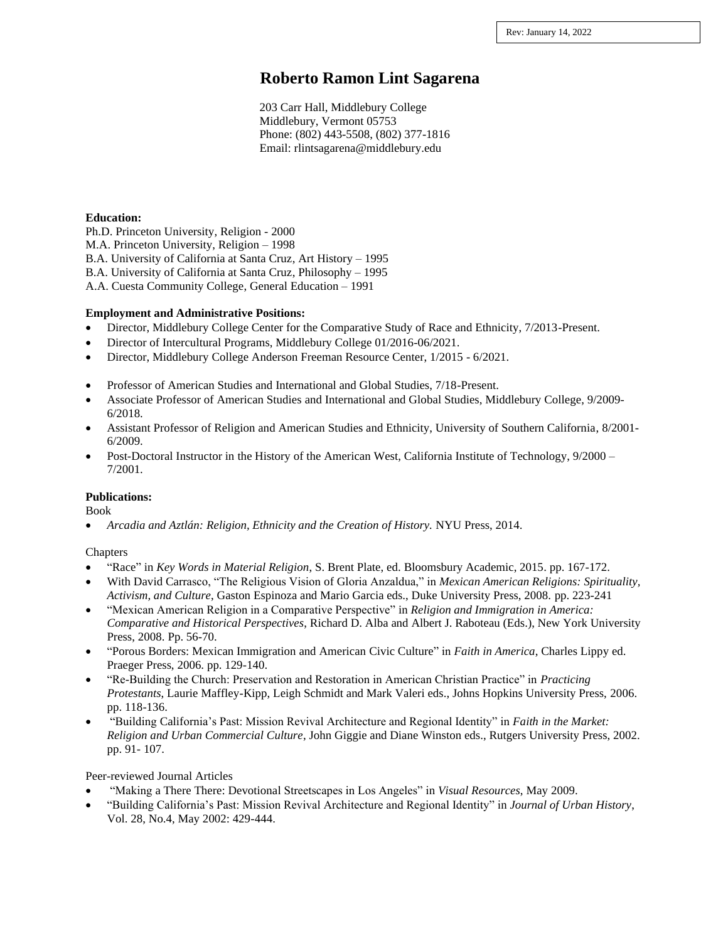# **Roberto Ramon Lint Sagarena**

203 Carr Hall, Middlebury College Middlebury, Vermont 05753 Phone: (802) 443-5508, (802) 377-1816 Email: rlintsagarena@middlebury.edu

#### **Education:**

Ph.D. Princeton University, Religion - 2000 M.A. Princeton University, Religion – 1998 B.A. University of California at Santa Cruz, Art History – 1995 B.A. University of California at Santa Cruz, Philosophy – 1995 A.A. Cuesta Community College, General Education – 1991

#### **Employment and Administrative Positions:**

- Director, Middlebury College Center for the Comparative Study of Race and Ethnicity, 7/2013-Present.
- Director of Intercultural Programs, Middlebury College 01/2016-06/2021.
- Director, Middlebury College Anderson Freeman Resource Center, 1/2015 6/2021.
- Professor of American Studies and International and Global Studies, 7/18-Present.
- Associate Professor of American Studies and International and Global Studies, Middlebury College, 9/2009- 6/2018.
- Assistant Professor of Religion and American Studies and Ethnicity, University of Southern California, 8/2001-6/2009.
- Post-Doctoral Instructor in the History of the American West, California Institute of Technology, 9/2000 7/2001.

#### **Publications:**

Book

• *Arcadia and Aztlán: Religion, Ethnicity and the Creation of History.* NYU Press, 2014.

#### **Chapters**

- "Race" in *Key Words in Material Religion*, S. Brent Plate, ed. Bloomsbury Academic, 2015. pp. 167-172.
- With David Carrasco, "The Religious Vision of Gloria Anzaldua," in *Mexican American Religions: Spirituality, Activism, and Culture*, Gaston Espinoza and Mario Garcia eds., Duke University Press, 2008. pp. 223-241
- "Mexican American Religion in a Comparative Perspective" in *Religion and Immigration in America: Comparative and Historical Perspectives*, Richard D. Alba and Albert J. Raboteau (Eds.), New York University Press, 2008. Pp. 56-70.
- "Porous Borders: Mexican Immigration and American Civic Culture" in *Faith in America*, Charles Lippy ed. Praeger Press, 2006. pp. 129-140.
- "Re-Building the Church: Preservation and Restoration in American Christian Practice" in *Practicing Protestants*, Laurie Maffley-Kipp, Leigh Schmidt and Mark Valeri eds., Johns Hopkins University Press, 2006. pp. 118-136.
- "Building California's Past: Mission Revival Architecture and Regional Identity" in *Faith in the Market: Religion and Urban Commercial Culture*, John Giggie and Diane Winston eds., Rutgers University Press, 2002. pp. 91- 107.

Peer-reviewed Journal Articles

- "Making a There There: Devotional Streetscapes in Los Angeles" in *Visual Resources*, May 2009.
- "Building California's Past: Mission Revival Architecture and Regional Identity" in *Journal of Urban History*, Vol. 28, No.4, May 2002: 429-444.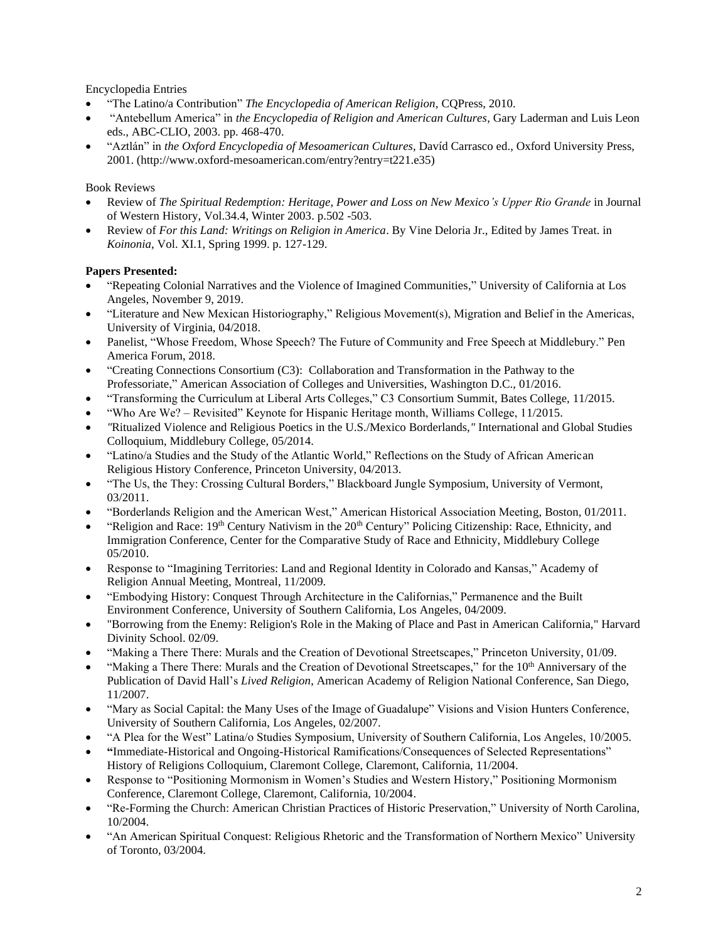Encyclopedia Entries

- "The Latino/a Contribution" *The Encyclopedia of American Religion,* CQPress, 2010.
- "Antebellum America" in *the Encyclopedia of Religion and American Cultures*, Gary Laderman and Luis Leon eds., ABC-CLIO, 2003. pp. 468-470.
- "Aztlán" in *the Oxford Encyclopedia of Mesoamerican Cultures*, Davíd Carrasco ed., Oxford University Press, 2001. (http://www.oxford-mesoamerican.com/entry?entry=t221.e35)

### Book Reviews

- Review of *The Spiritual Redemption: Heritage, Power and Loss on New Mexico's Upper Rio Grande* in Journal of Western History, Vol.34.4, Winter 2003. p.502 -503.
- Review of *For this Land: Writings on Religion in America*. By Vine Deloria Jr., Edited by James Treat. in *Koinonia*, Vol. XI.1, Spring 1999. p. 127-129.

# **Papers Presented:**

- "Repeating Colonial Narratives and the Violence of Imagined Communities," University of California at Los Angeles, November 9, 2019.
- "Literature and New Mexican Historiography," Religious Movement(s), Migration and Belief in the Americas, University of Virginia, 04/2018.
- Panelist, "Whose Freedom, Whose Speech? The Future of Community and Free Speech at Middlebury." Pen America Forum, 2018.
- "Creating Connections Consortium (C3): Collaboration and Transformation in the Pathway to the Professoriate," American Association of Colleges and Universities, Washington D.C., 01/2016.
- "Transforming the Curriculum at Liberal Arts Colleges," C3 Consortium Summit, Bates College, 11/2015.
- "Who Are We? Revisited" Keynote for Hispanic Heritage month, Williams College, 11/2015.
- *"*Ritualized Violence and Religious Poetics in the U.S./Mexico Borderlands,*"* International and Global Studies Colloquium, Middlebury College, 05/2014.
- "Latino/a Studies and the Study of the Atlantic World," Reflections on the Study of African American Religious History Conference, Princeton University, 04/2013.
- "The Us, the They: Crossing Cultural Borders," Blackboard Jungle Symposium, University of Vermont, 03/2011.
- "Borderlands Religion and the American West," American Historical Association Meeting, Boston, 01/2011.
- "Religion and Race:  $19<sup>th</sup>$  Century Nativism in the  $20<sup>th</sup>$  Century" Policing Citizenship: Race, Ethnicity, and Immigration Conference, Center for the Comparative Study of Race and Ethnicity, Middlebury College 05/2010.
- Response to "Imagining Territories: Land and Regional Identity in Colorado and Kansas," Academy of Religion Annual Meeting, Montreal, 11/2009.
- "Embodying History: Conquest Through Architecture in the Californias," Permanence and the Built Environment Conference, University of Southern California, Los Angeles, 04/2009.
- "Borrowing from the Enemy: Religion's Role in the Making of Place and Past in American California," Harvard Divinity School. 02/09.
- "Making a There There: Murals and the Creation of Devotional Streetscapes," Princeton University, 01/09.
- "Making a There There: Murals and the Creation of Devotional Streetscapes," for the 10<sup>th</sup> Anniversary of the Publication of David Hall's *Lived Religion*, American Academy of Religion National Conference, San Diego, 11/2007.
- "Mary as Social Capital: the Many Uses of the Image of Guadalupe" Visions and Vision Hunters Conference, University of Southern California, Los Angeles, 02/2007.
- "A Plea for the West" Latina/o Studies Symposium, University of Southern California, Los Angeles, 10/2005.
- **"**Immediate-Historical and Ongoing-Historical Ramifications/Consequences of Selected Representations" History of Religions Colloquium, Claremont College, Claremont, California, 11/2004.
- Response to "Positioning Mormonism in Women's Studies and Western History," Positioning Mormonism Conference, Claremont College, Claremont, California, 10/2004.
- "Re-Forming the Church: American Christian Practices of Historic Preservation," University of North Carolina, 10/2004.
- "An American Spiritual Conquest: Religious Rhetoric and the Transformation of Northern Mexico" University of Toronto, 03/2004.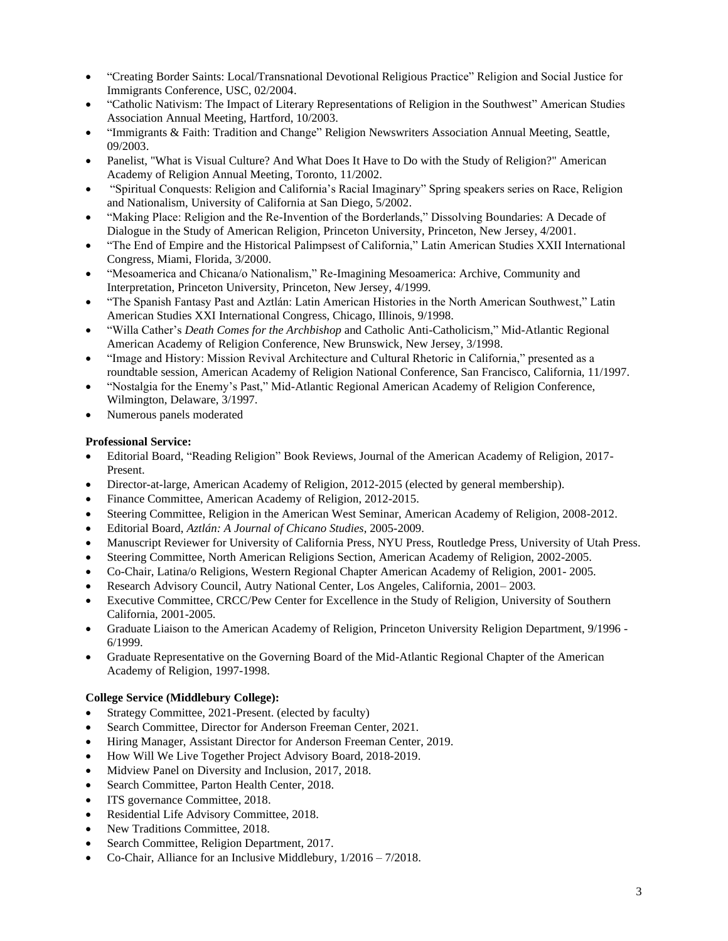- "Creating Border Saints: Local/Transnational Devotional Religious Practice" Religion and Social Justice for Immigrants Conference, USC, 02/2004.
- "Catholic Nativism: The Impact of Literary Representations of Religion in the Southwest" American Studies Association Annual Meeting, Hartford, 10/2003.
- "Immigrants & Faith: Tradition and Change" Religion Newswriters Association Annual Meeting, Seattle, 09/2003.
- Panelist, "What is Visual Culture? And What Does It Have to Do with the Study of Religion?" American Academy of Religion Annual Meeting, Toronto, 11/2002.
- "Spiritual Conquests: Religion and California's Racial Imaginary" Spring speakers series on Race, Religion and Nationalism, University of California at San Diego, 5/2002.
- "Making Place: Religion and the Re-Invention of the Borderlands," Dissolving Boundaries: A Decade of Dialogue in the Study of American Religion, Princeton University, Princeton, New Jersey, 4/2001.
- "The End of Empire and the Historical Palimpsest of California," Latin American Studies XXII International Congress, Miami, Florida, 3/2000.
- "Mesoamerica and Chicana/o Nationalism," Re-Imagining Mesoamerica: Archive, Community and Interpretation, Princeton University, Princeton, New Jersey, 4/1999.
- "The Spanish Fantasy Past and Aztlán: Latin American Histories in the North American Southwest," Latin American Studies XXI International Congress, Chicago, Illinois, 9/1998.
- "Willa Cather's *Death Comes for the Archbishop* and Catholic Anti-Catholicism," Mid-Atlantic Regional American Academy of Religion Conference, New Brunswick, New Jersey, 3/1998.
- "Image and History: Mission Revival Architecture and Cultural Rhetoric in California," presented as a roundtable session, American Academy of Religion National Conference, San Francisco, California, 11/1997.
- "Nostalgia for the Enemy's Past," Mid-Atlantic Regional American Academy of Religion Conference, Wilmington, Delaware, 3/1997.
- Numerous panels moderated

# **Professional Service:**

- Editorial Board, "Reading Religion" Book Reviews, Journal of the American Academy of Religion, 2017- Present.
- Director-at-large, American Academy of Religion, 2012-2015 (elected by general membership).
- Finance Committee, American Academy of Religion, 2012-2015.
- Steering Committee, Religion in the American West Seminar, American Academy of Religion, 2008-2012.
- Editorial Board, *Aztlán: A Journal of Chicano Studies*, 2005-2009.
- Manuscript Reviewer for University of California Press, NYU Press, Routledge Press, University of Utah Press.
- Steering Committee, North American Religions Section, American Academy of Religion, 2002-2005.
- Co-Chair, Latina/o Religions, Western Regional Chapter American Academy of Religion, 2001- 2005.
- Research Advisory Council, Autry National Center, Los Angeles, California, 2001– 2003.
- Executive Committee, CRCC/Pew Center for Excellence in the Study of Religion, University of Southern California, 2001-2005.
- Graduate Liaison to the American Academy of Religion, Princeton University Religion Department, 9/1996 6/1999.
- Graduate Representative on the Governing Board of the Mid-Atlantic Regional Chapter of the American Academy of Religion, 1997-1998.

### **College Service (Middlebury College):**

- Strategy Committee, 2021-Present. (elected by faculty)
- Search Committee, Director for Anderson Freeman Center, 2021.
- Hiring Manager, Assistant Director for Anderson Freeman Center, 2019.
- How Will We Live Together Project Advisory Board, 2018-2019.
- Midview Panel on Diversity and Inclusion, 2017, 2018.
- Search Committee, Parton Health Center, 2018.
- ITS governance Committee, 2018.
- Residential Life Advisory Committee, 2018.
- New Traditions Committee, 2018.
- Search Committee, Religion Department, 2017.
- Co-Chair, Alliance for an Inclusive Middlebury, 1/2016 7/2018.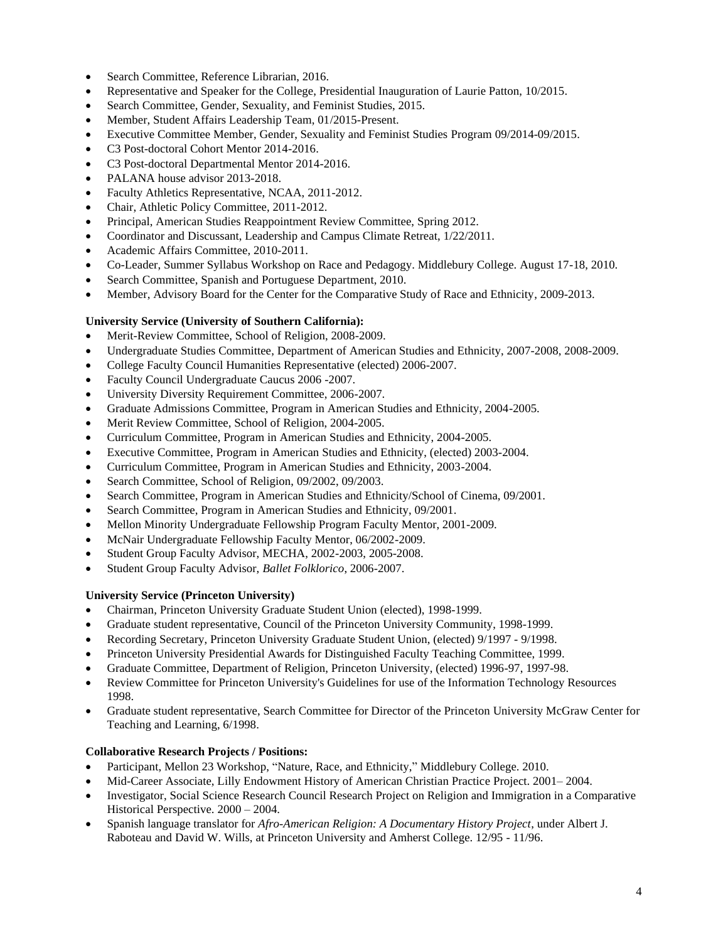- Search Committee, Reference Librarian, 2016.
- Representative and Speaker for the College, Presidential Inauguration of Laurie Patton, 10/2015.
- Search Committee, Gender, Sexuality, and Feminist Studies, 2015.
- Member, Student Affairs Leadership Team, 01/2015-Present.
- Executive Committee Member, Gender, Sexuality and Feminist Studies Program 09/2014-09/2015.
- C3 Post-doctoral Cohort Mentor 2014-2016.
- C3 Post-doctoral Departmental Mentor 2014-2016.
- PALANA house advisor 2013-2018.
- Faculty Athletics Representative, NCAA, 2011-2012.
- Chair, Athletic Policy Committee, 2011-2012.
- Principal, American Studies Reappointment Review Committee, Spring 2012.
- Coordinator and Discussant, Leadership and Campus Climate Retreat, 1/22/2011.
- Academic Affairs Committee, 2010-2011.
- Co-Leader, Summer Syllabus Workshop on Race and Pedagogy. Middlebury College. August 17-18, 2010.
- Search Committee, Spanish and Portuguese Department, 2010.
- Member, Advisory Board for the Center for the Comparative Study of Race and Ethnicity, 2009-2013.

# **University Service (University of Southern California):**

- Merit-Review Committee, School of Religion, 2008-2009.
- Undergraduate Studies Committee, Department of American Studies and Ethnicity, 2007-2008, 2008-2009.
- College Faculty Council Humanities Representative (elected) 2006-2007.
- Faculty Council Undergraduate Caucus 2006 -2007.
- University Diversity Requirement Committee, 2006-2007.
- Graduate Admissions Committee, Program in American Studies and Ethnicity, 2004-2005.
- Merit Review Committee, School of Religion, 2004-2005.
- Curriculum Committee, Program in American Studies and Ethnicity, 2004-2005.
- Executive Committee, Program in American Studies and Ethnicity, (elected) 2003-2004.
- Curriculum Committee, Program in American Studies and Ethnicity, 2003-2004.
- Search Committee, School of Religion, 09/2002, 09/2003.
- Search Committee, Program in American Studies and Ethnicity/School of Cinema, 09/2001.
- Search Committee, Program in American Studies and Ethnicity, 09/2001.
- Mellon Minority Undergraduate Fellowship Program Faculty Mentor, 2001-2009.
- McNair Undergraduate Fellowship Faculty Mentor, 06/2002-2009.
- Student Group Faculty Advisor, MECHA, 2002-2003, 2005-2008.
- Student Group Faculty Advisor, *Ballet Folklorico*, 2006-2007.

# **University Service (Princeton University)**

- Chairman, Princeton University Graduate Student Union (elected), 1998-1999.
- Graduate student representative, Council of the Princeton University Community, 1998-1999.
- Recording Secretary, Princeton University Graduate Student Union, (elected) 9/1997 9/1998.
- Princeton University Presidential Awards for Distinguished Faculty Teaching Committee, 1999.
- Graduate Committee, Department of Religion, Princeton University, (elected) 1996-97, 1997-98.
- Review Committee for Princeton University's Guidelines for use of the Information Technology Resources 1998.
- Graduate student representative, Search Committee for Director of the Princeton University McGraw Center for Teaching and Learning, 6/1998.

# **Collaborative Research Projects / Positions:**

- Participant, Mellon 23 Workshop, "Nature, Race, and Ethnicity," Middlebury College. 2010.
- Mid-Career Associate, Lilly Endowment History of American Christian Practice Project. 2001– 2004.
- Investigator, Social Science Research Council Research Project on Religion and Immigration in a Comparative Historical Perspective. 2000 – 2004.
- Spanish language translator for *Afro-American Religion: A Documentary History Project*, under Albert J. Raboteau and David W. Wills, at Princeton University and Amherst College. 12/95 - 11/96.